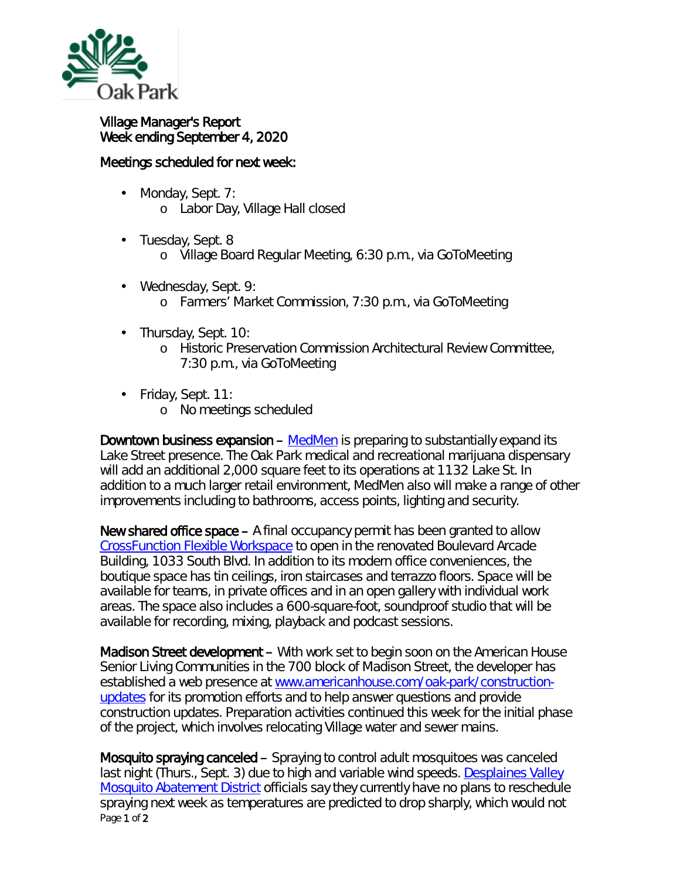

## Village Manager's Report Week ending September 4, 2020

## Meetings scheduled for next week:

- Monday, Sept. 7: ä, o Labor Day, Village Hall closed
- ä, Tuesday, Sept. 8
	- o Village Board Regular Meeting, 6:30 p.m., via GoToMeeting
- Wednesday, Sept. 9: k, o Farmers' Market Commission, 7:30 p.m., via GoToMeeting
- Thursday, Sept. 10: ä,
	- o Historic Preservation Commission Architectural Review Committee, 7:30 p.m., via GoToMeeting
- Friday, Sept. 11:
	- o No meetings scheduled

Downtown business expansion – [MedMen](https://www.medmen.com/stores/chicago-oak-park) is preparing to substantially expand its Lake Street presence. The Oak Park medical and recreational marijuana dispensary will add an additional 2,000 square feet to its operations at 1132 Lake St. In addition to a much larger retail environment, MedMen also will make a range of other improvements including to bathrooms, access points, lighting and security.

New shared office space – A final occupancy permit has been granted to allow *[CrossFunction Flexible Workspace](https://crossfunction.com/)* to open in the renovated Boulevard Arcade Building, 1033 South Blvd. In addition to its modern office conveniences, the boutique space has tin ceilings, iron staircases and terrazzo floors. Space will be available for teams, in private offices and in an open gallery with individual work areas. The space also includes a 600-square-foot, soundproof studio that will be available for recording, mixing, playback and podcast sessions.

Madison Street development – With work set to begin soon on the American House Senior Living Communities in the 700 block of Madison Street, the developer has established a web presence at [www.americanhouse.com/oak-park/construction](http://www.americanhouse.com/oak-park/construction-updates)[updates](http://www.americanhouse.com/oak-park/construction-updates) for its promotion efforts and to help answer questions and provide construction updates. Preparation activities continued this week for the initial phase of the project, which involves relocating Village water and sewer mains.

Page 1 of 2 Mosquito spraying canceled – Spraying to control adult mosquitoes was canceled last night (Thurs., Sept. 3) due to high and variable wind speeds. [Desplaines Valley](http://r20.rs6.net/tn.jsp?t=oalaihyab.0.0.qdcllmmab.0&id=preview&r=3&p=http%3A%2F%2Fwww.desplainesvalleymad.com%2F)  [Mosquito Abatement District](http://r20.rs6.net/tn.jsp?t=oalaihyab.0.0.qdcllmmab.0&id=preview&r=3&p=http%3A%2F%2Fwww.desplainesvalleymad.com%2F) officials say they currently have no plans to reschedule spraying next week as temperatures are predicted to drop sharply, which would not